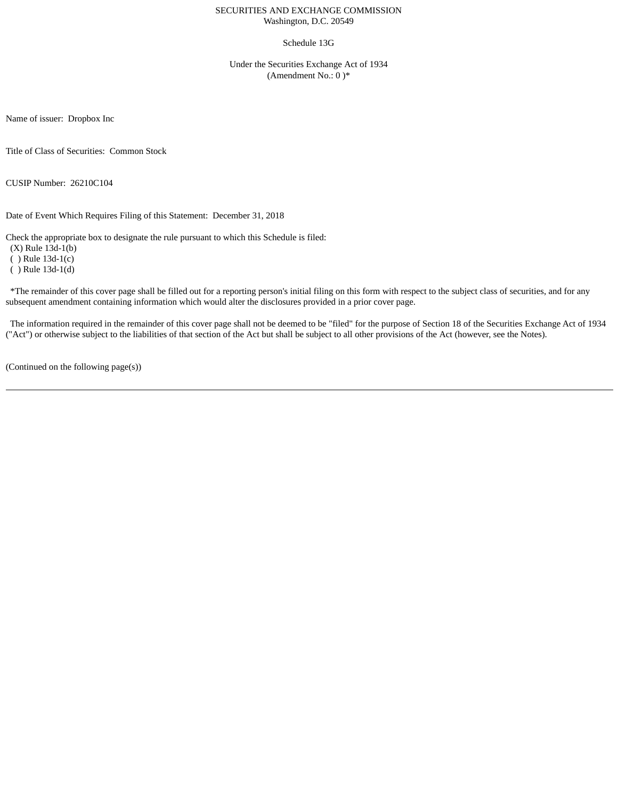#### SECURITIES AND EXCHANGE COMMISSION Washington, D.C. 20549

#### Schedule 13G

Under the Securities Exchange Act of 1934 (Amendment No.: 0 )\*

Name of issuer: Dropbox Inc

Title of Class of Securities: Common Stock

CUSIP Number: 26210C104

Date of Event Which Requires Filing of this Statement: December 31, 2018

Check the appropriate box to designate the rule pursuant to which this Schedule is filed:

(X) Rule 13d-1(b) ( ) Rule 13d-1(c) ( ) Rule 13d-1(d)

\*The remainder of this cover page shall be filled out for a reporting person's initial filing on this form with respect to the subject class of securities, and for any subsequent amendment containing information which would alter the disclosures provided in a prior cover page.

The information required in the remainder of this cover page shall not be deemed to be "filed" for the purpose of Section 18 of the Securities Exchange Act of 1934 ("Act") or otherwise subject to the liabilities of that section of the Act but shall be subject to all other provisions of the Act (however, see the Notes).

(Continued on the following page(s))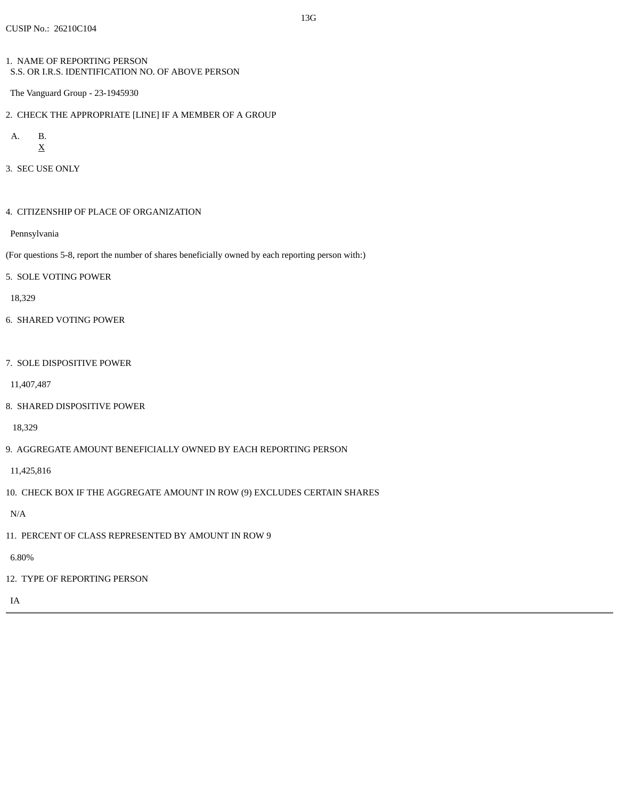1. NAME OF REPORTING PERSON S.S. OR I.R.S. IDENTIFICATION NO. OF ABOVE PERSON

The Vanguard Group - 23-1945930

2. CHECK THE APPROPRIATE [LINE] IF A MEMBER OF A GROUP

A. B. X

3. SEC USE ONLY

4. CITIZENSHIP OF PLACE OF ORGANIZATION

Pennsylvania

- (For questions 5-8, report the number of shares beneficially owned by each reporting person with:)
- 5. SOLE VOTING POWER

18,329

- 6. SHARED VOTING POWER
- 7. SOLE DISPOSITIVE POWER

11,407,487

8. SHARED DISPOSITIVE POWER

18,329

9. AGGREGATE AMOUNT BENEFICIALLY OWNED BY EACH REPORTING PERSON

11,425,816

10. CHECK BOX IF THE AGGREGATE AMOUNT IN ROW (9) EXCLUDES CERTAIN SHARES

N/A

11. PERCENT OF CLASS REPRESENTED BY AMOUNT IN ROW 9

6.80%

12. TYPE OF REPORTING PERSON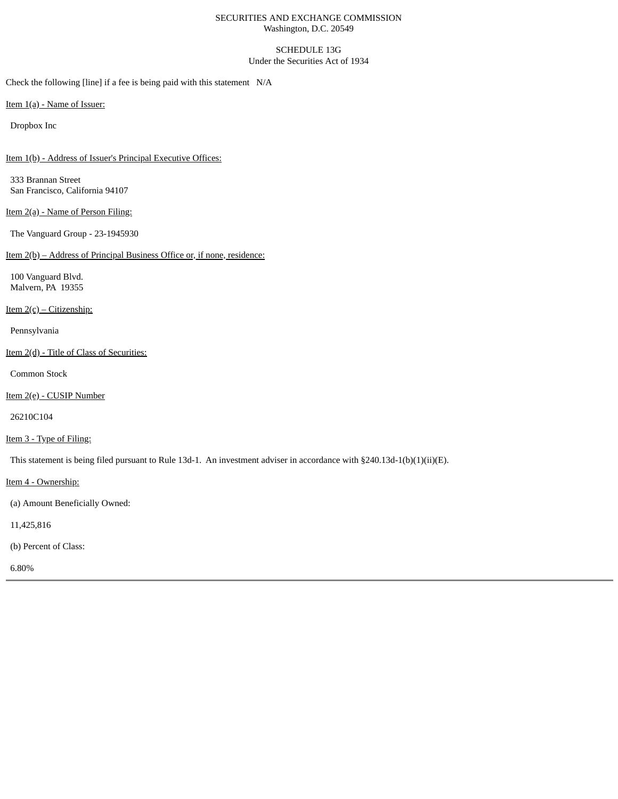#### SECURITIES AND EXCHANGE COMMISSION Washington, D.C. 20549

# SCHEDULE 13G

## Under the Securities Act of 1934

Check the following [line] if a fee is being paid with this statement N/A

Item 1(a) - Name of Issuer:

Dropbox Inc

Item 1(b) - Address of Issuer's Principal Executive Offices:

333 Brannan Street San Francisco, California 94107

Item 2(a) - Name of Person Filing:

The Vanguard Group - 23-1945930

# Item 2(b) – Address of Principal Business Office or, if none, residence:

100 Vanguard Blvd. Malvern, PA 19355

Item 2(c) – Citizenship:

Pennsylvania

Item 2(d) - Title of Class of Securities:

Common Stock

Item 2(e) - CUSIP Number

26210C104

Item 3 - Type of Filing:

This statement is being filed pursuant to Rule 13d-1. An investment adviser in accordance with §240.13d-1(b)(1)(ii)(E).

Item 4 - Ownership:

(a) Amount Beneficially Owned:

11,425,816

(b) Percent of Class:

6.80%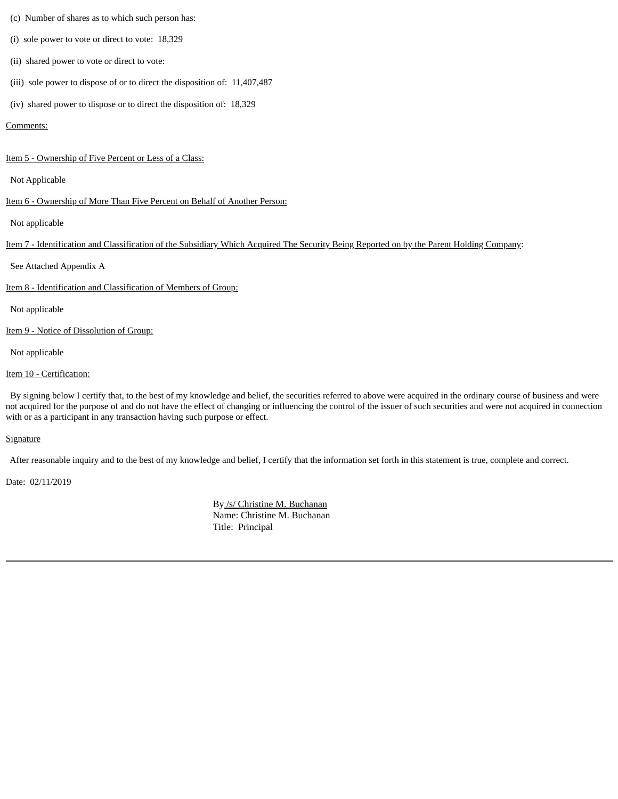- (c) Number of shares as to which such person has:
- (i) sole power to vote or direct to vote: 18,329
- (ii) shared power to vote or direct to vote:
- (iii) sole power to dispose of or to direct the disposition of: 11,407,487
- (iv) shared power to dispose or to direct the disposition of: 18,329

## Comments:

Item 5 - Ownership of Five Percent or Less of a Class:

Not Applicable

#### Item 6 - Ownership of More Than Five Percent on Behalf of Another Person:

Not applicable

Item 7 - Identification and Classification of the Subsidiary Which Acquired The Security Being Reported on by the Parent Holding Company:

See Attached Appendix A

Item 8 - Identification and Classification of Members of Group:

Not applicable

Item 9 - Notice of Dissolution of Group:

Not applicable

## Item 10 - Certification:

By signing below I certify that, to the best of my knowledge and belief, the securities referred to above were acquired in the ordinary course of business and were not acquired for the purpose of and do not have the effect of changing or influencing the control of the issuer of such securities and were not acquired in connection with or as a participant in any transaction having such purpose or effect.

## **Signature**

After reasonable inquiry and to the best of my knowledge and belief, I certify that the information set forth in this statement is true, complete and correct.

Date: 02/11/2019

By /s/ Christine M. Buchanan Name: Christine M. Buchanan Title: Principal